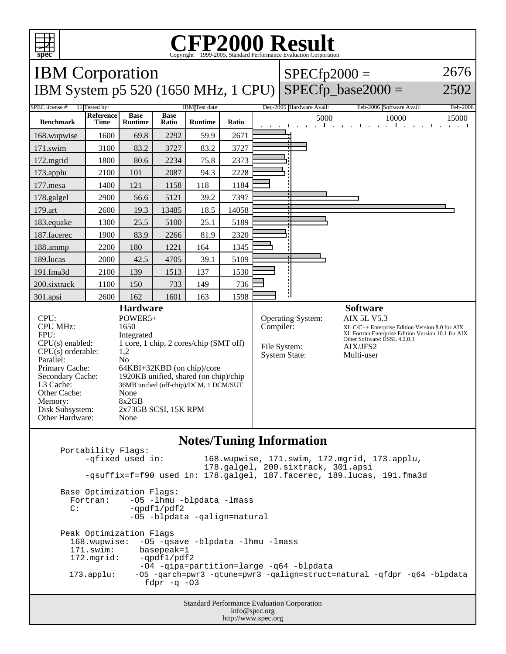

## C<sub>opyright</sub> ©1999-2005, Standard Performance Evaluation Corporation

| <b>IBM</b> Corporation                                                                                                                                                                                     |                                                                                                                                                                                                                                                        |                               |                      |                |       |                                                                               |  | $SPECfp2000 =$                                                                                                                                                                        |                          | 2676                                 |
|------------------------------------------------------------------------------------------------------------------------------------------------------------------------------------------------------------|--------------------------------------------------------------------------------------------------------------------------------------------------------------------------------------------------------------------------------------------------------|-------------------------------|----------------------|----------------|-------|-------------------------------------------------------------------------------|--|---------------------------------------------------------------------------------------------------------------------------------------------------------------------------------------|--------------------------|--------------------------------------|
| IBM System p5 520 (1650 MHz, 1 CPU)                                                                                                                                                                        |                                                                                                                                                                                                                                                        |                               |                      |                |       |                                                                               |  |                                                                                                                                                                                       | $SPECfp\_base2000 =$     | 2502                                 |
| 11 Tested by:<br>SPEC license #:<br>IBM Test date:                                                                                                                                                         |                                                                                                                                                                                                                                                        |                               |                      |                |       |                                                                               |  | Dec-2005 Hardware Avail:                                                                                                                                                              | Feb-2006 Software Avail: | Feb-2006                             |
| <b>Benchmark</b>                                                                                                                                                                                           | Reference<br>Time                                                                                                                                                                                                                                      | <b>Base</b><br><b>Runtime</b> | <b>Base</b><br>Ratio | <b>Runtime</b> | Ratio |                                                                               |  | 5000<br>$\mathbf{L}$                                                                                                                                                                  | 10000<br>$-1 - 1$        | 15000<br>$\mathbf{I}$<br>and a state |
| 168.wupwise                                                                                                                                                                                                | 1600                                                                                                                                                                                                                                                   | 69.8                          | 2292                 | 59.9           | 2671  |                                                                               |  |                                                                                                                                                                                       |                          |                                      |
| 171.swim                                                                                                                                                                                                   | 3100                                                                                                                                                                                                                                                   | 83.2                          | 3727                 | 83.2           | 3727  |                                                                               |  |                                                                                                                                                                                       |                          |                                      |
| 172.mgrid                                                                                                                                                                                                  | 1800                                                                                                                                                                                                                                                   | 80.6                          | 2234                 | 75.8           | 2373  |                                                                               |  |                                                                                                                                                                                       |                          |                                      |
| 173.applu                                                                                                                                                                                                  | 2100                                                                                                                                                                                                                                                   | 101                           | 2087                 | 94.3           | 2228  |                                                                               |  |                                                                                                                                                                                       |                          |                                      |
| 177.mesa                                                                                                                                                                                                   | 1400                                                                                                                                                                                                                                                   | 121                           | 1158                 | 118            | 1184  |                                                                               |  |                                                                                                                                                                                       |                          |                                      |
| 178.galgel                                                                                                                                                                                                 | 2900                                                                                                                                                                                                                                                   | 56.6                          | 5121                 | 39.2           | 7397  |                                                                               |  |                                                                                                                                                                                       |                          |                                      |
| 179.art                                                                                                                                                                                                    | 2600                                                                                                                                                                                                                                                   | 19.3                          | 13485                | 18.5           | 14058 |                                                                               |  |                                                                                                                                                                                       |                          |                                      |
| 183.equake                                                                                                                                                                                                 | 1300                                                                                                                                                                                                                                                   | 25.5                          | 5100                 | 25.1           | 5189  |                                                                               |  |                                                                                                                                                                                       |                          |                                      |
| 187.facerec                                                                                                                                                                                                | 1900                                                                                                                                                                                                                                                   | 83.9                          | 2266                 | 81.9           | 2320  |                                                                               |  |                                                                                                                                                                                       |                          |                                      |
| 188.ammp                                                                                                                                                                                                   | 2200                                                                                                                                                                                                                                                   | 180                           | 1221                 | 164            | 1345  |                                                                               |  |                                                                                                                                                                                       |                          |                                      |
| 189.lucas                                                                                                                                                                                                  | 2000                                                                                                                                                                                                                                                   | 42.5                          | 4705                 | 39.1           | 5109  |                                                                               |  |                                                                                                                                                                                       |                          |                                      |
| 191.fma3d                                                                                                                                                                                                  | 2100                                                                                                                                                                                                                                                   | 139                           | 1513                 | 137            | 1530  |                                                                               |  |                                                                                                                                                                                       |                          |                                      |
| 200.sixtrack                                                                                                                                                                                               | 1100                                                                                                                                                                                                                                                   | 150                           | 733                  | 149            | 736   |                                                                               |  |                                                                                                                                                                                       |                          |                                      |
| 301.apsi                                                                                                                                                                                                   | 2600                                                                                                                                                                                                                                                   | 162                           | 1601                 | 163            | 1598  |                                                                               |  |                                                                                                                                                                                       |                          |                                      |
| <b>Hardware</b>                                                                                                                                                                                            |                                                                                                                                                                                                                                                        |                               |                      |                |       |                                                                               |  |                                                                                                                                                                                       | <b>Software</b>          |                                      |
| CPU:<br><b>CPU MHz:</b><br>FPU:<br>$CPU(s)$ enabled:<br>CPU(s) orderable:<br>Parallel:<br>Primary Cache:<br>Secondary Cache:<br>L3 Cache:<br>Other Cache:<br>Memory:<br>Disk Subsystem:<br>Other Hardware: | POWER5+<br>1650<br>Integrated<br>1 core, 1 chip, 2 cores/chip (SMT off)<br>1,2<br>No<br>64KBI+32KBD (on chip)/core<br>1920KB unified, shared (on chip)/chip<br>36MB unified (off-chip)/DCM, 1 DCM/SUT<br>None<br>8x2GB<br>2x73GB SCSI, 15K RPM<br>None |                               |                      |                |       | <b>Operating System:</b><br>Compiler:<br>File System:<br><b>System State:</b> |  | <b>AIX 5L V5.3</b><br>XL C/C++ Enterprise Edition Version 8.0 for AIX<br>XL Fortran Enterprise Edition Version 10.1 for AIX<br>Other Software: ESSL 4.2.0.3<br>AIX/JFS2<br>Multi-user |                          |                                      |

## **Notes/Tuning Information**

Portability Flags:<br>-qfixed used in: 168.wupwise, 171.swim, 172.mgrid, 173.applu, 178.galgel, 200.sixtrack, 301.apsi -qsuffix=f=f90 used in: 178.galgel, 187.facerec, 189.lucas, 191.fma3d Base Optimization Flags: Fortran: -05 -1hmu -blpdata -1mass<br>C: -ordf1/pdf2  $-qpdf1/pdf2$  -O5 -blpdata -qalign=natural Peak Optimization Flags 168.wupwise: -O5 -qsave -blpdata -lhmu -lmass 171.swim: basepeak=1<br>172.mgrid: -qpdf1/pdf  $-qpdf1/pdf2$  -O4 -qipa=partition=large -q64 -blpdata 173.applu: -O5 -qarch=pwr3 -qtune=pwr3 -qalign=struct=natural -qfdpr -q64 -blpdata fdpr  $-q$  -03

> Standard Performance Evaluation Corporation info@spec.org http://www.spec.org